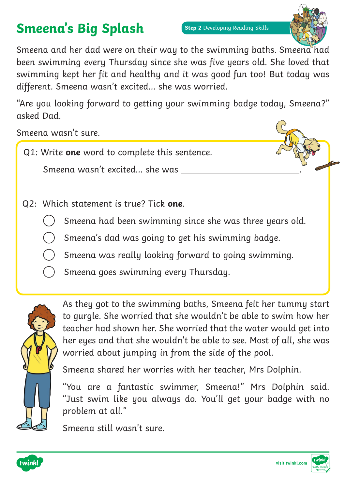# **Smeena's Big Splash**



Smeena and her dad were on their way to the swimming baths. Smeena had been swimming every Thursday since she was five years old. She loved that swimming kept her fit and healthy and it was good fun too! But today was different. Smeena wasn't excited… she was worried.

"Are you looking forward to getting your swimming badge today, Smeena?" asked Dad.

Smeena wasn't sure.

Q1: Write **one** word to complete this sentence.

Smeena wasn't excited… she was .

- Q2: Which statement is true? Tick **one**.
	- Smeena had been swimming since she was three years old.
	- Smeena's dad was going to get his swimming badge.
	- Smeena was really looking forward to going swimming.
	- Smeena goes swimming every Thursday.



As they got to the swimming baths, Smeena felt her tummy start to gurgle. She worried that she wouldn't be able to swim how her teacher had shown her. She worried that the water would get into her eyes and that she wouldn't be able to see. Most of all, she was worried about jumping in from the side of the pool.

Smeena shared her worries with her teacher, Mrs Dolphin.

"You are a fantastic swimmer, Smeena!" Mrs Dolphin said. "Just swim like you always do. You'll get your badge with no problem at all."

Smeena still wasn't sure.



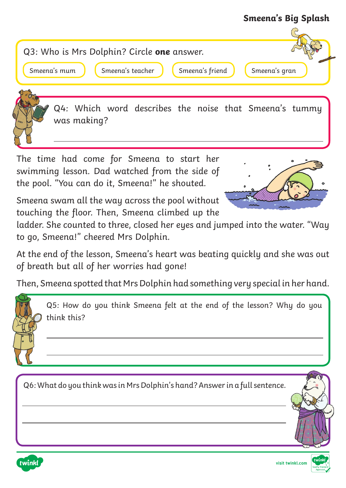#### **Smeena's Big Splash**



The time had come for Smeena to start her swimming lesson. Dad watched from the side of the pool. "You can do it, Smeena!" he shouted.

Smeena swam all the way across the pool without touching the floor. Then, Smeena climbed up the



ladder. She counted to three, closed her eyes and jumped into the water. "Way to go, Smeena!" cheered Mrs Dolphin.

At the end of the lesson, Smeena's heart was beating quickly and she was out of breath but all of her worries had gone!

Then, Smeena spotted that Mrs Dolphin had something very special in her hand.

Q5: How do you think Smeena felt at the end of the lesson? Why do you think this?

Q6: What do you think was in Mrs Dolphin's hand? Answer in a full sentence.